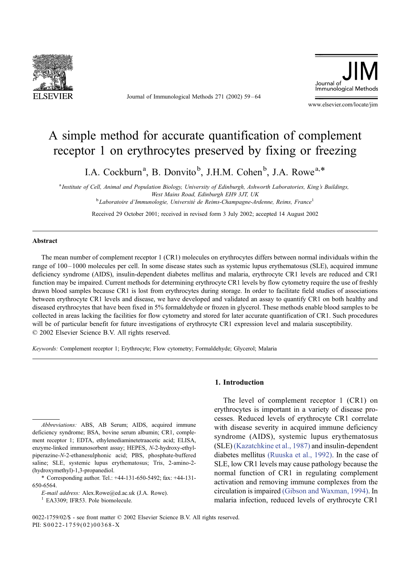

Journal of Immunological Methods 271 (2002) 59 – 64



www.elsevier.com/locate/jim

# A simple method for accurate quantification of complement receptor 1 on erythrocytes preserved by fixing or freezing

I.A. Cockburn<sup>a</sup>, B. Donvito<sup>b</sup>, J.H.M. Cohen<sup>b</sup>, J.A. Rowe<sup>a,\*</sup>

<sup>a</sup> Institute of Cell, Animal and Population Biology, University of Edinburgh, Ashworth Laboratories, King's Buildings, West Mains Road, Edinburgh EH9 3JT, UK <sup>b</sup>  $b$ Laboratoire d'Immunologie, Université de Reims-Champagne-Ardenne, Reims, France<sup>1</sup>

Received 29 October 2001; received in revised form 3 July 2002; accepted 14 August 2002

## Abstract

The mean number of complement receptor 1 (CR1) molecules on erythrocytes differs between normal individuals within the range of 100 – 1000 molecules per cell. In some disease states such as systemic lupus erythematosus (SLE), acquired immune deficiency syndrome (AIDS), insulin-dependent diabetes mellitus and malaria, erythrocyte CR1 levels are reduced and CR1 function may be impaired. Current methods for determining erythrocyte CR1 levels by flow cytometry require the use of freshly drawn blood samples because CR1 is lost from erythrocytes during storage. In order to facilitate field studies of associations between erythrocyte CR1 levels and disease, we have developed and validated an assay to quantify CR1 on both healthy and diseased erythrocytes that have been fixed in 5% formaldehyde or frozen in glycerol. These methods enable blood samples to be collected in areas lacking the facilities for flow cytometry and stored for later accurate quantification of CR1. Such procedures will be of particular benefit for future investigations of erythrocyte CR1 expression level and malaria susceptibility.  $© 2002 Elsevier Science B.V. All rights reserved.$ 

Keywords: Complement receptor 1; Erythrocyte; Flow cytometry; Formaldehyde; Glycerol; Malaria

Abbreviations: ABS, AB Serum; AIDS, acquired immune deficiency syndrome; BSA, bovine serum albumin; CR1, complement receptor 1; EDTA, ethylenediaminetetraacetic acid; ELISA, enzyme-linked immunosorbent assay; HEPES, N-2-hydroxy-ethylpiperazine-N-2-ethanesulphonic acid; PBS, phosphate-buffered saline; SLE, systemic lupus erythematosus; Tris, 2-amino-2- (hydroxymethyl)-1,3-propanediol.

\* Corresponding author. Tel.: +44-131-650-5492; fax: +44-131- 650-6564.

E-mail address: Alex.Rowe@ed.ac.uk (J.A. Rowe).<br><sup>1</sup> EA3309; IFR53. Pole biomolecule.

## 1. Introduction

The level of complement receptor 1 (CR1) on erythrocytes is important in a variety of disease processes. Reduced levels of erythrocyte CR1 correlate with disease severity in acquired immune deficiency syndrome (AIDS), systemic lupus erythematosus (SLE) [\(Kazatchkine et al., 1987\)](#page-5-0) and insulin-dependent diabetes mellitus [\(Ruuska et al., 1992\).](#page-5-0) In the case of SLE, low CR1 levels may cause pathology because the normal function of CR1 in regulating complement activation and removing immune complexes from the circulation is impaired [\(Gibson and Waxman, 1994\).](#page-5-0) In malaria infection, reduced levels of erythrocyte CR1

0022-1759/02/\$ - see front matter © 2002 Elsevier Science B.V. All rights reserved. PII: S0022-1759(02)00368-X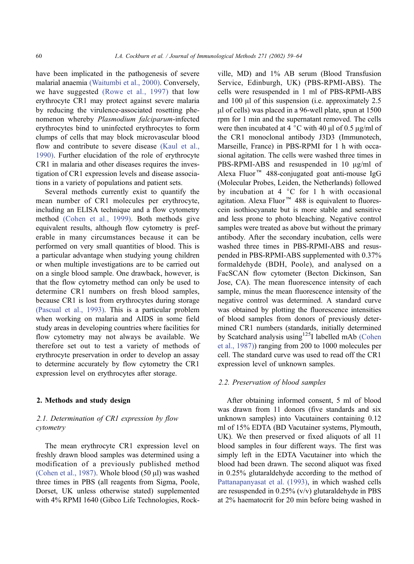have been implicated in the pathogenesis of severe malarial anaemia [\(Waitumbi et al., 2000\).](#page-5-0) Conversely, we have suggested [\(Rowe et al., 1997\)](#page-5-0) that low erythrocyte CR1 may protect against severe malaria by reducing the virulence-associated rosetting phenomenon whereby Plasmodium falciparum-infected erythrocytes bind to uninfected erythrocytes to form clumps of cells that may block microvascular blood flow and contribute to severe disease [\(Kaul et al.,](#page-5-0) 1990). Further elucidation of the role of erythrocyte CR1 in malaria and other diseases requires the investigation of CR1 expression levels and disease associations in a variety of populations and patient sets.

Several methods currently exist to quantify the mean number of CR1 molecules per erythrocyte, including an ELISA technique and a flow cytometry method [\(Cohen et al., 1999\).](#page-5-0) Both methods give equivalent results, although flow cytometry is preferable in many circumstances because it can be performed on very small quantities of blood. This is a particular advantage when studying young children or when multiple investigations are to be carried out on a single blood sample. One drawback, however, is that the flow cytometry method can only be used to determine CR1 numbers on fresh blood samples, because CR1 is lost from erythrocytes during storage [\(Pascual et al., 1993\).](#page-5-0) This is a particular problem when working on malaria and AIDS in some field study areas in developing countries where facilities for flow cytometry may not always be available. We therefore set out to test a variety of methods of erythrocyte preservation in order to develop an assay to determine accurately by flow cytometry the CR1 expression level on erythrocytes after storage.

## 2. Methods and study design

## 2.1. Determination of CR1 expression by flow cytometry

The mean erythrocyte CR1 expression level on freshly drawn blood samples was determined using a modification of a previously published method [\(Cohen et al., 1987\).](#page-5-0) Whole blood  $(50 \mu l)$  was washed three times in PBS (all reagents from Sigma, Poole, Dorset, UK unless otherwise stated) supplemented with 4% RPMI 1640 (Gibco Life Technologies, Rockville, MD) and 1% AB serum (Blood Transfusion Service, Edinburgh, UK) (PBS-RPMI-ABS). The cells were resuspended in 1 ml of PBS-RPMI-ABS and 100  $\mu$ l of this suspension (i.e. approximately 2.5)  $\mu$ l of cells) was placed in a 96-well plate, spun at 1500 rpm for 1 min and the supernatant removed. The cells were then incubated at 4  $\degree$ C with 40  $\mu$ l of 0.5  $\mu$ g/ml of the CR1 monoclonal antibody J3D3 (Immunotech, Marseille, France) in PBS-RPMI for 1 h with occasional agitation. The cells were washed three times in PBS-RPMI-ABS and resuspended in  $10 \mu g/ml$  of Alexa Fluor<sup>™</sup> 488-conjugated goat anti-mouse IgG (Molecular Probes, Leiden, the Netherlands) followed by incubation at  $4 \degree C$  for 1 h with occasional agitation. Alexa Fluor<sup> $M$ </sup> 488 is equivalent to fluorescein isothiocyanate but is more stable and sensitive and less prone to photo bleaching. Negative control samples were treated as above but without the primary antibody. After the secondary incubation, cells were washed three times in PBS-RPMI-ABS and resuspended in PBS-RPMI-ABS supplemented with 0.37% formaldehyde (BDH, Poole), and analysed on a FacSCAN flow cytometer (Becton Dickinson, San Jose, CA). The mean fluorescence intensity of each sample, minus the mean fluorescence intensity of the negative control was determined. A standard curve was obtained by plotting the fluorescence intensities of blood samples from donors of previously determined CR1 numbers (standards, initially determined by Scatchard analysis using<sup>125</sup>I labelled mAb [\(Cohen](#page-5-0) et al., 1987)) ranging from 200 to 1000 molecules per cell. The standard curve was used to read off the CR1 expression level of unknown samples.

## 2.2. Preservation of blood samples

After obtaining informed consent, 5 ml of blood was drawn from 11 donors (five standards and six unknown samples) into Vacutainers containing 0.12 ml of 15% EDTA (BD Vacutainer systems, Plymouth, UK). We then preserved or fixed aliquots of all 11 blood samples in four different ways. The first was simply left in the EDTA Vacutainer into which the blood had been drawn. The second aliquot was fixed in 0.25% glutaraldehyde according to the method of [Pattanapanyasat et al. \(1993\),](#page-5-0) in which washed cells are resuspended in 0.25% (v/v) glutaraldehyde in PBS at 2% haematocrit for 20 min before being washed in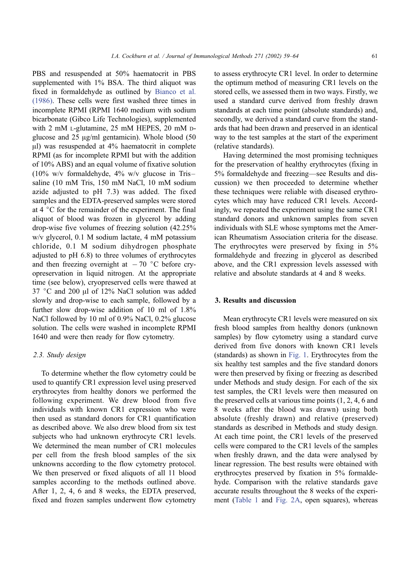PBS and resuspended at 50% haematocrit in PBS supplemented with 1% BSA. The third aliquot was fixed in formaldehyde as outlined by [Bianco et al.](#page-5-0) (1986). These cells were first washed three times in incomplete RPMI (RPMI 1640 medium with sodium bicarbonate (Gibco Life Technologies), supplemented with 2 mM L-glutamine, 25 mM HEPES, 20 mM Dglucose and  $25 \text{ µg/ml}$  gentamicin). Whole blood (50)  $\mu$ l) was resuspended at 4% haematocrit in complete RPMI (as for incomplete RPMI but with the addition of 10% ABS) and an equal volume of fixative solution (10% w/v formaldehyde, 4% w/v glucose in Tris – saline (10 mM Tris, 150 mM NaCl, 10 mM sodium azide adjusted to pH 7.3) was added. The fixed samples and the EDTA-preserved samples were stored at  $4 \degree$ C for the remainder of the experiment. The final aliquot of blood was frozen in glycerol by adding drop-wise five volumes of freezing solution (42.25% w/v glycerol, 0.1 M sodium lactate, 4 mM potassium chloride, 0.1 M sodium dihydrogen phosphate adjusted to pH 6.8) to three volumes of erythrocytes and then freezing overnight at  $-70$  °C before cryopreservation in liquid nitrogen. At the appropriate time (see below), cryopreserved cells were thawed at  $37$  °C and 200  $\mu$ l of 12% NaCl solution was added slowly and drop-wise to each sample, followed by a further slow drop-wise addition of 10 ml of 1.8% NaCl followed by 10 ml of 0.9% NaCl, 0.2% glucose solution. The cells were washed in incomplete RPMI 1640 and were then ready for flow cytometry.

#### 2.3. Study design

To determine whether the flow cytometry could be used to quantify CR1 expression level using preserved erythrocytes from healthy donors we performed the following experiment. We drew blood from five individuals with known CR1 expression who were then used as standard donors for CR1 quantification as described above. We also drew blood from six test subjects who had unknown erythrocyte CR1 levels. We determined the mean number of CR1 molecules per cell from the fresh blood samples of the six unknowns according to the flow cytometry protocol. We then preserved or fixed aliquots of all 11 blood samples according to the methods outlined above. After 1, 2, 4, 6 and 8 weeks, the EDTA preserved, fixed and frozen samples underwent flow cytometry

to assess erythrocyte CR1 level. In order to determine the optimum method of measuring CR1 levels on the stored cells, we assessed them in two ways. Firstly, we used a standard curve derived from freshly drawn standards at each time point (absolute standards) and, secondly, we derived a standard curve from the standards that had been drawn and preserved in an identical way to the test samples at the start of the experiment (relative standards).

Having determined the most promising techniques for the preservation of healthy erythrocytes (fixing in 5% formaldehyde and freezing—see Results and discussion) we then proceeded to determine whether these techniques were reliable with diseased erythrocytes which may have reduced CR1 levels. Accordingly, we repeated the experiment using the same CR1 standard donors and unknown samples from seven individuals with SLE whose symptoms met the American Rheumatism Association criteria for the disease. The erythrocytes were preserved by fixing in 5% formaldehyde and freezing in glycerol as described above, and the CR1 expression levels assessed with relative and absolute standards at 4 and 8 weeks.

#### 3. Results and discussion

Mean erythrocyte CR1 levels were measured on six fresh blood samples from healthy donors (unknown samples) by flow cytometry using a standard curve derived from five donors with known CR1 levels (standards) as shown in [Fig. 1.](#page-3-0) Erythrocytes from the six healthy test samples and the five standard donors were then preserved by fixing or freezing as described under Methods and study design. For each of the six test samples, the CR1 levels were then measured on the preserved cells at various time points (1, 2, 4, 6 and 8 weeks after the blood was drawn) using both absolute (freshly drawn) and relative (preserved) standards as described in Methods and study design. At each time point, the CR1 levels of the preserved cells were compared to the CR1 levels of the samples when freshly drawn, and the data were analysed by linear regression. The best results were obtained with erythrocytes preserved by fixation in 5% formaldehyde. Comparison with the relative standards gave accurate results throughout the 8 weeks of the experiment ([Table 1](#page-4-0) and [Fig. 2A,](#page-3-0) open squares), whereas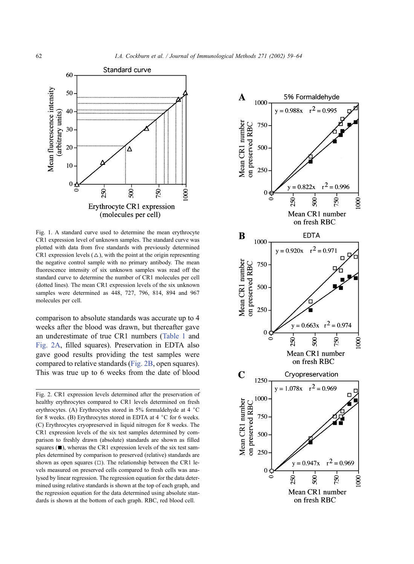<span id="page-3-0"></span>

Fig. 1. A standard curve used to determine the mean erythrocyte CR1 expression level of unknown samples. The standard curve was plotted with data from five standards with previously determined CR1 expression levels  $(\triangle)$ , with the point at the origin representing the negative control sample with no primary antibody. The mean fluorescence intensity of six unknown samples was read off the standard curve to determine the number of CR1 molecules per cell (dotted lines). The mean CR1 expression levels of the six unknown samples were determined as 448, 727, 796, 814, 894 and 967 molecules per cell.

comparison to absolute standards was accurate up to 4 weeks after the blood was drawn, but thereafter gave an underestimate of true CR1 numbers ([Table 1](#page-4-0) and Fig. 2A, filled squares). Preservation in EDTA also gave good results providing the test samples were compared to relative standards (Fig. 2B, open squares). This was true up to 6 weeks from the date of blood

Fig. 2. CR1 expression levels determined after the preservation of healthy erythrocytes compared to CR1 levels determined on fresh erythrocytes. (A) Erythrocytes stored in  $5\%$  formaldehyde at 4  $\degree$ C for 8 weeks. (B) Erythrocytes stored in EDTA at  $4 \degree$ C for 6 weeks. (C) Erythrocytes cryopreserved in liquid nitrogen for 8 weeks. The CR1 expression levels of the six test samples determined by comparison to freshly drawn (absolute) standards are shown as filled squares  $(\blacksquare)$ , whereas the CR1 expression levels of the six test samples determined by comparison to preserved (relative) standards are shown as open squares  $(\square)$ . The relationship between the CR1 levels measured on preserved cells compared to fresh cells was analysed by linear regression. The regression equation for the data determined using relative standards is shown at the top of each graph, and the regression equation for the data determined using absolute standards is shown at the bottom of each graph. RBC, red blood cell.

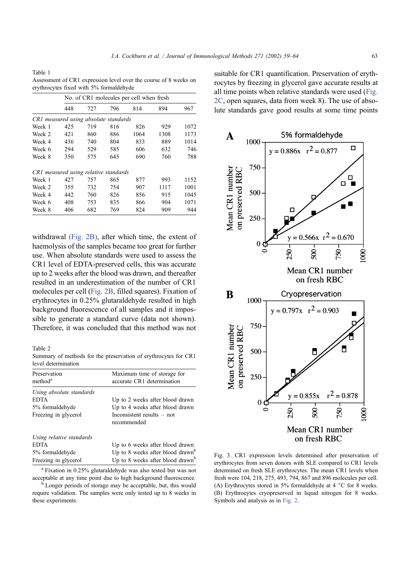<span id="page-4-0"></span>Table 1 Assessment of CR1 expression level over the course of 8 weeks on erythrocytes fixed with 5% formaldehyde

|                                       | No. of CR1 molecules per cell when fresh |     |     |      |      |      |  |
|---------------------------------------|------------------------------------------|-----|-----|------|------|------|--|
|                                       | 448                                      | 727 | 796 | 814  | 894  | 967  |  |
| CR1 measured using absolute standards |                                          |     |     |      |      |      |  |
| Week 1                                | 425                                      | 719 | 816 | 826  | 929  | 1072 |  |
| Week 2                                | 421                                      | 860 | 886 | 1064 | 1308 | 1173 |  |
| Week 4                                | 436                                      | 740 | 804 | 833  | 889  | 1014 |  |
| Week 6                                | 294                                      | 529 | 585 | 606  | 632  | 746  |  |
| Week 8                                | 350                                      | 575 | 645 | 690  | 760  | 788  |  |
| CR1 measured using relative standards |                                          |     |     |      |      |      |  |
| Week 1                                | 427                                      | 757 | 865 | 877  | 993  | 1152 |  |
| Week 2                                | 355                                      | 732 | 754 | 907  | 1117 | 1001 |  |
| Week 4                                | 442                                      | 760 | 826 | 856  | 915  | 1045 |  |
| Week 6                                | 408                                      | 753 | 835 | 866  | 904  | 1071 |  |
| Week 8                                | 406                                      | 682 | 769 | 824  | 909  | 944  |  |

withdrawal [\(Fig. 2B\),](#page-3-0) after which time, the extent of haemolysis of the samples became too great for further use. When absolute standards were used to assess the CR1 level of EDTA-preserved cells, this was accurate up to 2 weeks after the blood was drawn, and thereafter resulted in an underestimation of the number of CR1 molecules per cell ([Fig. 2B,](#page-3-0) filled squares). Fixation of erythrocytes in 0.25% glutaraldehyde resulted in high background fluorescence of all samples and it impossible to generate a standard curve (data not shown). Therefore, it was concluded that this method was not

Table 2

Summary of methods for the preservation of erythrocytes for CR1 level determination

| Preservation                                                                       | Maximum time of storage for                                                                                                     |  |  |  |
|------------------------------------------------------------------------------------|---------------------------------------------------------------------------------------------------------------------------------|--|--|--|
| method <sup>a</sup>                                                                | accurate CR1 determination                                                                                                      |  |  |  |
| Using absolute standards                                                           | Up to 2 weeks after blood drawn                                                                                                 |  |  |  |
| <b>EDTA</b>                                                                        | Up to 4 weeks after blood drawn                                                                                                 |  |  |  |
| 5% formaldehyde                                                                    | Inconsistent results – not                                                                                                      |  |  |  |
| Freezing in glycerol                                                               | recommended                                                                                                                     |  |  |  |
| Using relative standards<br><b>EDTA</b><br>5% formaldehyde<br>Freezing in glycerol | Up to 6 weeks after blood drawn<br>Up to 8 weeks after blood drawn <sup>b</sup><br>Up to 8 weeks after blood drawn <sup>b</sup> |  |  |  |

<sup>a</sup> Fixation in 0.25% glutaraldehyde was also tested but was not acceptable at any time point due to high background fluorescence. <sup>b</sup> Longer periods of storage may be acceptable, but, this would

require validation. The samples were only tested up to 8 weeks in these experiments.

suitable for CR1 quantification. Preservation of erythrocytes by freezing in glycerol gave accurate results at all time points when relative standards were used ([Fig.](#page-3-0) 2C, open squares, data from week 8). The use of absolute standards gave good results at some time points



Fig. 3. CR1 expression levels determined after preservation of erythrocytes from seven donors with SLE compared to CR1 levels determined on fresh SLE erythrocytes. The mean CR1 levels when fresh were 104, 218, 275, 493, 794, 867 and 896 molecules per cell. (A) Erythrocytes stored in 5% formaldehyde at 4  $\degree$ C for 8 weeks. (B) Erythrocytes cryopreserved in liquid nitrogen for 8 weeks. Symbols and analysis as in [Fig. 2.](#page-3-0)